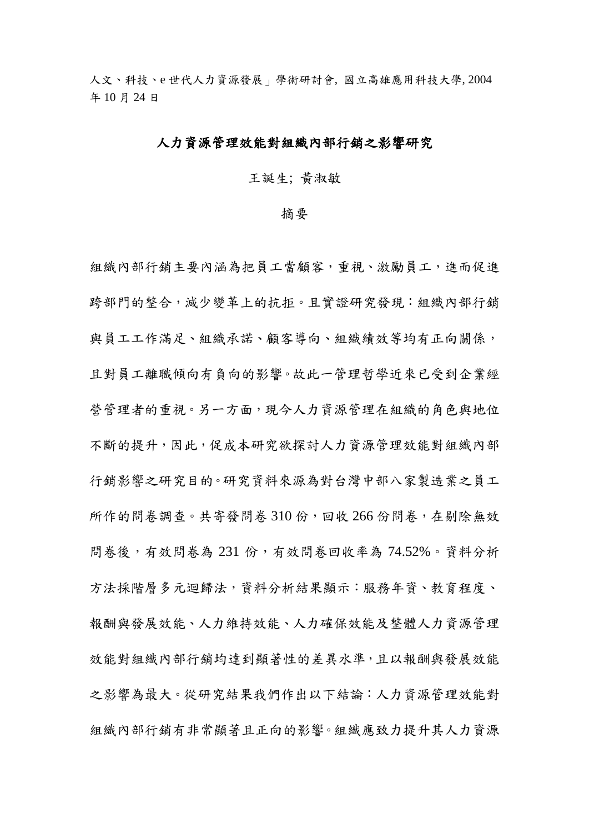人文、科技、e 世代人力資源發展」學術研討會, 國立高雄應用科技大學, 2004 年 10 月 24 日

### 人力資源管理效能對組織內部行銷之影響研究

王誕生; 黃淑敏

#### 摘要

組織內部行銷主要內涵為把員工當顧客,重視、激勵員工,進而促進 跨部門的整合,減少變革上的抗拒。且實證研究發現:組織內部行銷 與員工工作滿足、組織承諾、顧客導向、組織績效等均有正向關係, 且對員工離職傾向有負向的影響。故此一管理哲學近來已受到企業經 營管理者的重視。另一方面,現今人力資源管理在組織的角色與地位 不斷的提升,因此,促成本研究欲探討人力資源管理效能對組織內部 行銷影響之研究目的。研究資料來源為對台灣中部八家製造業之員工 所作的問卷調查。共寄發問卷 310份,回收 266 份問卷,在剔除無效 問卷後,有效問卷為 231 份,有效問卷回收率為 74.52%。資料分析 方法採階層多元迴歸法,資料分析結果顯示:服務年資、教育程度、 報酬與發展效能、人力維持效能、人力確保效能及整體人力資源管理 效能對組織內部行銷均達到顯著性的差異水準,且以報酬與發展效能 之影響為最大。從研究結果我們作出以下結論:人力資源管理效能對 組織內部行銷有非常顯著且正向的影響。組織應致力提升其人力資源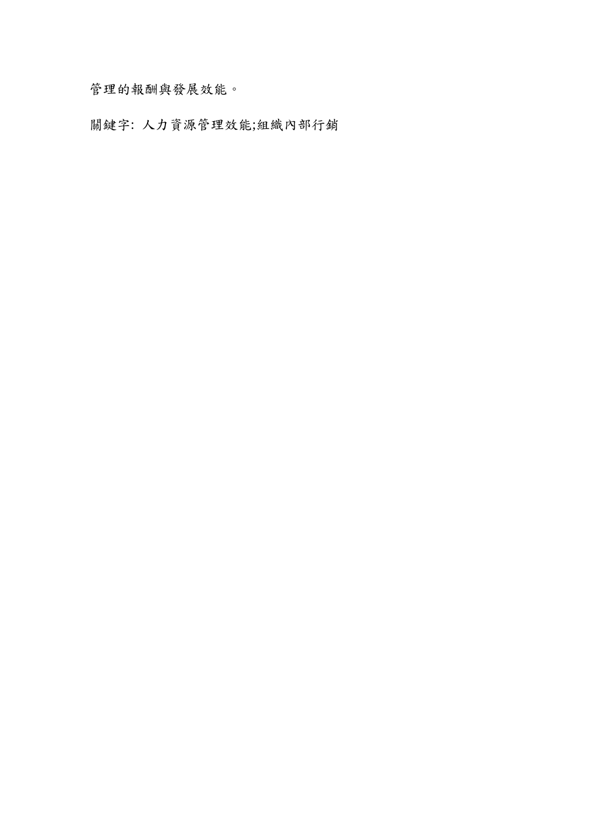管理的報酬與發展效能。

關鍵字: 人力資源管理效能;組織內部行銷